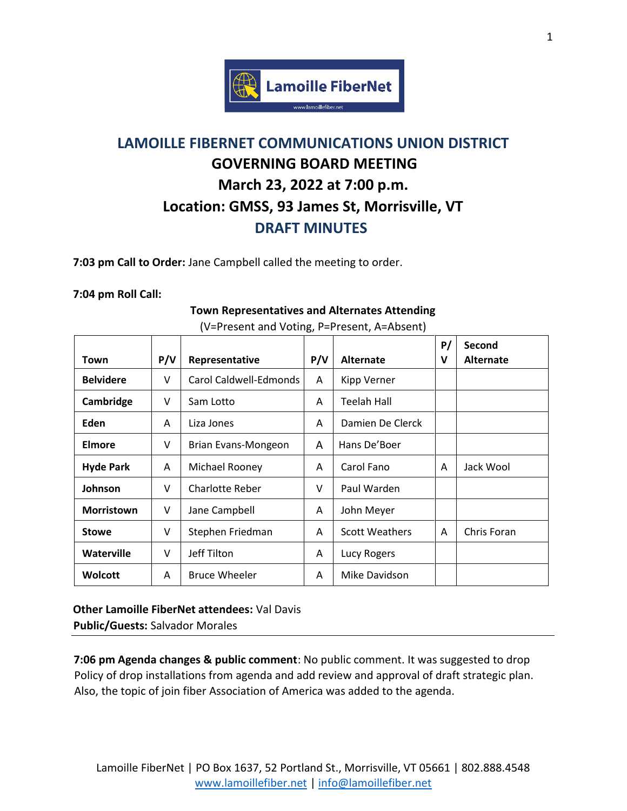

## **LAMOILLE FIBERNET COMMUNICATIONS UNION DISTRICT GOVERNING BOARD MEETING March 23, 2022 at 7:00 p.m. Location: GMSS, 93 James St, Morrisville, VT DRAFT MINUTES**

**7:03 pm Call to Order:** Jane Campbell called the meeting to order.

## **7:04 pm Roll Call:**

## Town | P/V | Representative | P/V | Alternate **P/ V Second Alternate Belvidere**  $\vert \vee \vert$  Carol Caldwell-Edmonds  $\vert$  A  $\vert$  Kipp Verner **Cambridge** | V | Sam Lotto | A | Teelah Hall **Eden**  $\begin{array}{|c|c|c|c|c|} \hline A & \text{Liza Jones} & A & \text{Damien De Clerck} \hline \end{array}$ **Elmore**  $\vert \vee \vert$  Brian Evans-Mongeon  $\vert$  A  $\vert$  Hans De'Boer **Hyde Park** | A | Michael Rooney | A | Carol Fano | A | Jack Wool **Johnson** | V | Charlotte Reber | V | Paul Warden **Morristown** | V | Jane Campbell | A | John Meyer **Stowe**  $\vert \vee \vert$  Stephen Friedman  $\vert A \vert$  Scott Weathers  $\vert A \vert$  Chris Foran **Waterville**  $\vert \vee \vert$  Jeff Tilton  $\vert$  A  $\vert$  Lucy Rogers **Wolcott**  $\begin{array}{|c|c|c|c|c|} \hline \end{array}$  A  $\begin{array}{|c|c|c|c|c|} \hline \end{array}$  A  $\begin{array}{|c|c|c|c|c|} \hline \end{array}$  A  $\begin{array}{|c|c|c|c|c|} \hline \end{array}$  A  $\begin{array}{|c|c|c|c|c|} \hline \end{array}$  A  $\begin{array}{|c|c|c|c|c|} \hline \end{array}$  A  $\begin{array}{|c|c|c|c|c|} \hline \end{array}$  A  $\$

## **Town Representatives and Alternates Attending** (V=Present and Voting, P=Present, A=Absent)

**Other Lamoille FiberNet attendees:** Val Davis **Public/Guests:** Salvador Morales

**7:06 pm Agenda changes & public comment**: No public comment. It was suggested to drop Policy of drop installations from agenda and add review and approval of draft strategic plan. Also, the topic of join fiber Association of America was added to the agenda.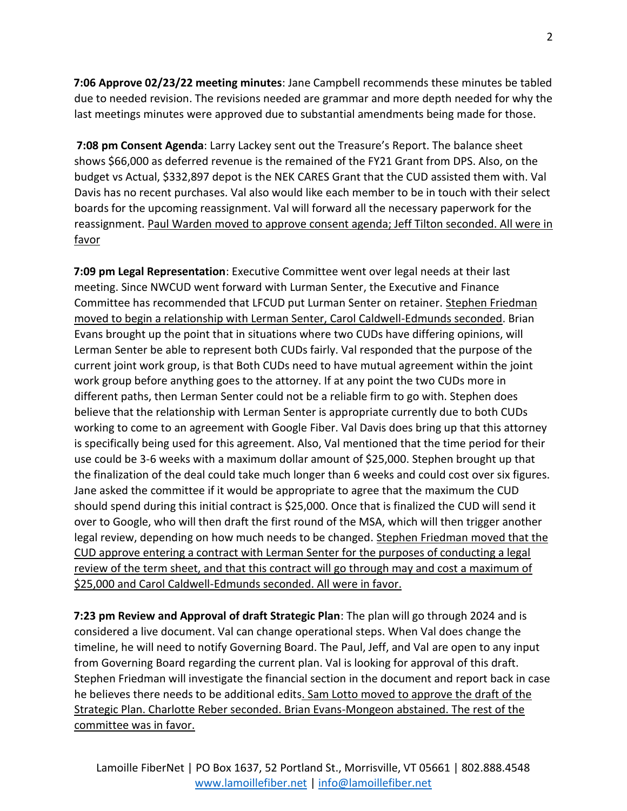**7:06 Approve 02/23/22 meeting minutes**: Jane Campbell recommends these minutes be tabled due to needed revision. The revisions needed are grammar and more depth needed for why the last meetings minutes were approved due to substantial amendments being made for those.

**7:08 pm Consent Agenda**: Larry Lackey sent out the Treasure's Report. The balance sheet shows \$66,000 as deferred revenue is the remained of the FY21 Grant from DPS. Also, on the budget vs Actual, \$332,897 depot is the NEK CARES Grant that the CUD assisted them with. Val Davis has no recent purchases. Val also would like each member to be in touch with their select boards for the upcoming reassignment. Val will forward all the necessary paperwork for the reassignment. Paul Warden moved to approve consent agenda; Jeff Tilton seconded. All were in favor

**7:09 pm Legal Representation**: Executive Committee went over legal needs at their last meeting. Since NWCUD went forward with Lurman Senter, the Executive and Finance Committee has recommended that LFCUD put Lurman Senter on retainer. Stephen Friedman moved to begin a relationship with Lerman Senter, Carol Caldwell-Edmunds seconded. Brian Evans brought up the point that in situations where two CUDs have differing opinions, will Lerman Senter be able to represent both CUDs fairly. Val responded that the purpose of the current joint work group, is that Both CUDs need to have mutual agreement within the joint work group before anything goes to the attorney. If at any point the two CUDs more in different paths, then Lerman Senter could not be a reliable firm to go with. Stephen does believe that the relationship with Lerman Senter is appropriate currently due to both CUDs working to come to an agreement with Google Fiber. Val Davis does bring up that this attorney is specifically being used for this agreement. Also, Val mentioned that the time period for their use could be 3-6 weeks with a maximum dollar amount of \$25,000. Stephen brought up that the finalization of the deal could take much longer than 6 weeks and could cost over six figures. Jane asked the committee if it would be appropriate to agree that the maximum the CUD should spend during this initial contract is \$25,000. Once that is finalized the CUD will send it over to Google, who will then draft the first round of the MSA, which will then trigger another legal review, depending on how much needs to be changed. Stephen Friedman moved that the CUD approve entering a contract with Lerman Senter for the purposes of conducting a legal review of the term sheet, and that this contract will go through may and cost a maximum of \$25,000 and Carol Caldwell-Edmunds seconded. All were in favor.

**7:23 pm Review and Approval of draft Strategic Plan**: The plan will go through 2024 and is considered a live document. Val can change operational steps. When Val does change the timeline, he will need to notify Governing Board. The Paul, Jeff, and Val are open to any input from Governing Board regarding the current plan. Val is looking for approval of this draft. Stephen Friedman will investigate the financial section in the document and report back in case he believes there needs to be additional edits. Sam Lotto moved to approve the draft of the Strategic Plan. Charlotte Reber seconded. Brian Evans-Mongeon abstained. The rest of the committee was in favor.